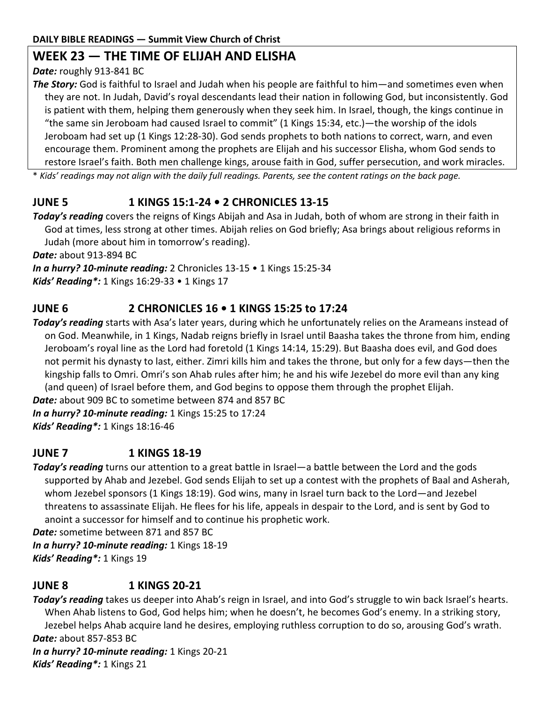#### **DAILY BIBLE READINGS — Summit View Church of Christ**

### **WEEK 23 — THE TIME OF ELIJAH AND ELISHA**

#### *Date:* roughly 913-841 BC

*The Story:* God is faithful to Israel and Judah when his people are faithful to him—and sometimes even when they are not. In Judah, David's royal descendants lead their nation in following God, but inconsistently. God is patient with them, helping them generously when they seek him. In Israel, though, the kings continue in "the same sin Jeroboam had caused Israel to commit" (1 Kings 15:34, etc.)—the worship of the idols Jeroboam had set up (1 Kings 12:28-30). God sends prophets to both nations to correct, warn, and even encourage them. Prominent among the prophets are Elijah and his successor Elisha, whom God sends to restore Israel's faith. Both men challenge kings, arouse faith in God, suffer persecution, and work miracles.

\* *Kids' readings may not align with the daily full readings. Parents, see the content ratings on the back page.*

# **JUNE 5 1 KINGS 15:1-24 • 2 CHRONICLES 13-15**

*Today's reading* covers the reigns of Kings Abijah and Asa in Judah, both of whom are strong in their faith in God at times, less strong at other times. Abijah relies on God briefly; Asa brings about religious reforms in Judah (more about him in tomorrow's reading).

*Date:* about 913-894 BC

*In a hurry? 10-minute reading:* 2 Chronicles 13-15 • 1 Kings 15:25-34

*Kids' Reading\*:* 1 Kings 16:29-33 • 1 Kings 17

## **JUNE 6 2 CHRONICLES 16 • 1 KINGS 15:25 to 17:24**

*Today's reading* starts with Asa's later years, during which he unfortunately relies on the Arameans instead of on God. Meanwhile, in 1 Kings, Nadab reigns briefly in Israel until Baasha takes the throne from him, ending Jeroboam's royal line as the Lord had foretold (1 Kings 14:14, 15:29). But Baasha does evil, and God does not permit his dynasty to last, either. Zimri kills him and takes the throne, but only for a few days—then the kingship falls to Omri. Omri's son Ahab rules after him; he and his wife Jezebel do more evil than any king (and queen) of Israel before them, and God begins to oppose them through the prophet Elijah. *Date:* about 909 BC to sometime between 874 and 857 BC

*In a hurry? 10-minute reading:* 1 Kings 15:25 to 17:24

*Kids' Reading\*:* 1 Kings 18:16-46

### **JUNE 7 1 KINGS 18-19**

*Today's reading* turns our attention to a great battle in Israel—a battle between the Lord and the gods supported by Ahab and Jezebel. God sends Elijah to set up a contest with the prophets of Baal and Asherah, whom Jezebel sponsors (1 Kings 18:19). God wins, many in Israel turn back to the Lord—and Jezebel threatens to assassinate Elijah. He flees for his life, appeals in despair to the Lord, and is sent by God to anoint a successor for himself and to continue his prophetic work.

*Date:* sometime between 871 and 857 BC

*In a hurry? 10-minute reading:* 1 Kings 18-19 *Kids' Reading\*:* 1 Kings 19

## **JUNE 8 1 KINGS 20-21**

*Today's reading* takes us deeper into Ahab's reign in Israel, and into God's struggle to win back Israel's hearts. When Ahab listens to God, God helps him; when he doesn't, he becomes God's enemy. In a striking story, Jezebel helps Ahab acquire land he desires, employing ruthless corruption to do so, arousing God's wrath. *Date:* about 857-853 BC *In a hurry? 10-minute reading:* 1 Kings 20-21

*Kids' Reading\*:* 1 Kings 21